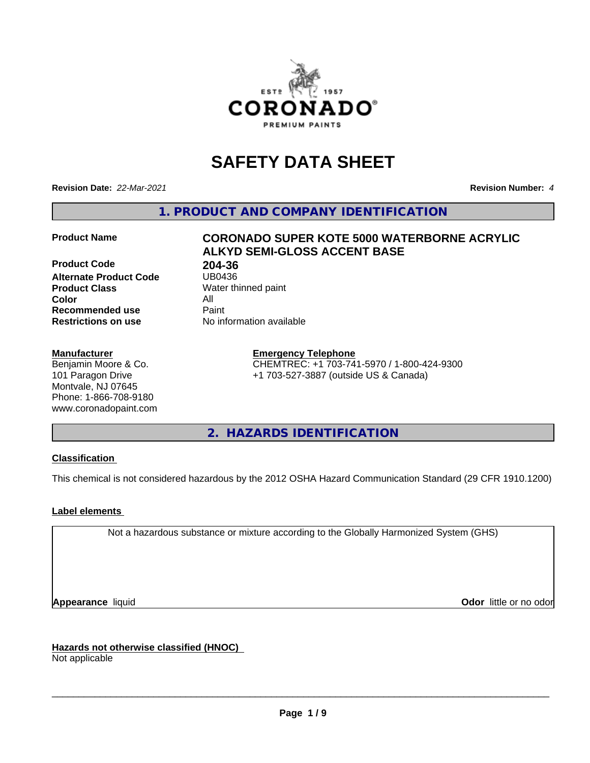

# **SAFETY DATA SHEET**

**Revision Date:** *22-Mar-2021* **Revision Number:** *4*

**1. PRODUCT AND COMPANY IDENTIFICATION**

**Product Code 1994-36**<br>**Alternate Product Code** 1980436 **Alternate Product Code Product Class** Water thinned paint<br> **Color** All **Color** All **Recommended use Caint Restrictions on use** No information available

#### **Manufacturer**

Benjamin Moore & Co. 101 Paragon Drive Montvale, NJ 07645 Phone: 1-866-708-9180 www.coronadopaint.com

# **Product Name CORONADO SUPER KOTE 5000 WATERBORNE ACRYLIC ALKYD SEMI-GLOSS ACCENT BASE**

**Emergency Telephone** CHEMTREC: +1 703-741-5970 / 1-800-424-9300 +1 703-527-3887 (outside US & Canada)

**2. HAZARDS IDENTIFICATION**

### **Classification**

This chemical is not considered hazardous by the 2012 OSHA Hazard Communication Standard (29 CFR 1910.1200)

### **Label elements**

Not a hazardous substance or mixture according to the Globally Harmonized System (GHS)

**Appearance** liquid **Contract Contract Contract Contract Contract Contract Contract Contract Contract Contract Contract Contract Contract Contract Contract Contract Contract Contract Contract Contract Contract Contract Con** 

**Hazards not otherwise classified (HNOC)**

Not applicable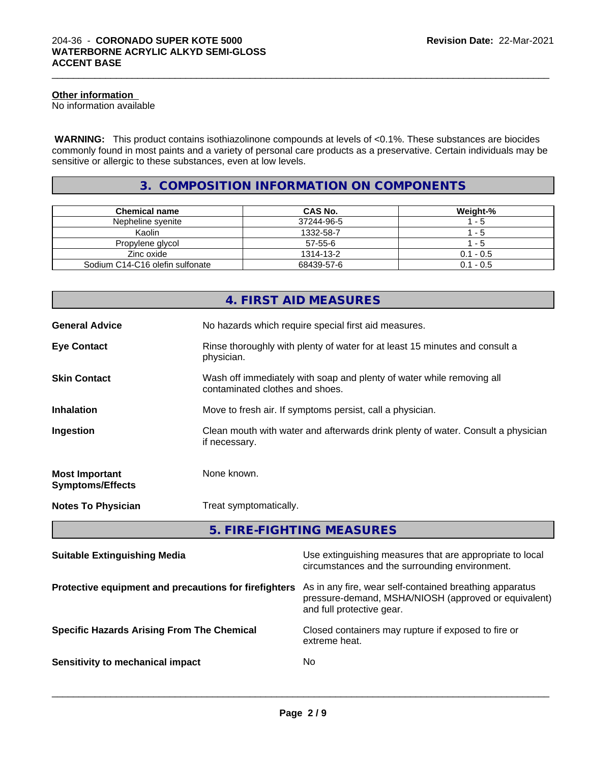### **Other information**

No information available

 **WARNING:** This product contains isothiazolinone compounds at levels of <0.1%. These substances are biocides commonly found in most paints and a variety of personal care products as a preservative. Certain individuals may be sensitive or allergic to these substances, even at low levels.

 $\_$  ,  $\_$  ,  $\_$  ,  $\_$  ,  $\_$  ,  $\_$  ,  $\_$  ,  $\_$  ,  $\_$  ,  $\_$  ,  $\_$  ,  $\_$  ,  $\_$  ,  $\_$  ,  $\_$  ,  $\_$  ,  $\_$  ,  $\_$  ,  $\_$  ,  $\_$  ,  $\_$  ,  $\_$  ,  $\_$  ,  $\_$  ,  $\_$  ,  $\_$  ,  $\_$  ,  $\_$  ,  $\_$  ,  $\_$  ,  $\_$  ,  $\_$  ,  $\_$  ,  $\_$  ,  $\_$  ,  $\_$  ,  $\_$  ,

# **3. COMPOSITION INFORMATION ON COMPONENTS**

| Chemical name                   | CAS No.    | Weight-%    |
|---------------------------------|------------|-------------|
| Nepheline svenite               | 37244-96-5 | - 5         |
| Kaolin                          | 1332-58-7  | - 5         |
| Propylene glycol                | 57-55-6    | - 5         |
| Zinc oxide                      | 1314-13-2  | $0.1 - 0.5$ |
| Sodium C14-C16 olefin sulfonate | 68439-57-6 | $0.1 - 0.5$ |

|                                                  | 4. FIRST AID MEASURES                                                                                    |
|--------------------------------------------------|----------------------------------------------------------------------------------------------------------|
| <b>General Advice</b>                            | No hazards which require special first aid measures.                                                     |
| <b>Eye Contact</b>                               | Rinse thoroughly with plenty of water for at least 15 minutes and consult a<br>physician.                |
| <b>Skin Contact</b>                              | Wash off immediately with soap and plenty of water while removing all<br>contaminated clothes and shoes. |
| <b>Inhalation</b>                                | Move to fresh air. If symptoms persist, call a physician.                                                |
| Ingestion                                        | Clean mouth with water and afterwards drink plenty of water. Consult a physician<br>if necessary.        |
| <b>Most Important</b><br><b>Symptoms/Effects</b> | None known.                                                                                              |
| <b>Notes To Physician</b>                        | Treat symptomatically.                                                                                   |

**5. FIRE-FIGHTING MEASURES**

| <b>Suitable Extinguishing Media</b>                   | Use extinguishing measures that are appropriate to local<br>circumstances and the surrounding environment.                                   |
|-------------------------------------------------------|----------------------------------------------------------------------------------------------------------------------------------------------|
| Protective equipment and precautions for firefighters | As in any fire, wear self-contained breathing apparatus<br>pressure-demand, MSHA/NIOSH (approved or equivalent)<br>and full protective gear. |
| <b>Specific Hazards Arising From The Chemical</b>     | Closed containers may rupture if exposed to fire or<br>extreme heat.                                                                         |
| Sensitivity to mechanical impact                      | No.                                                                                                                                          |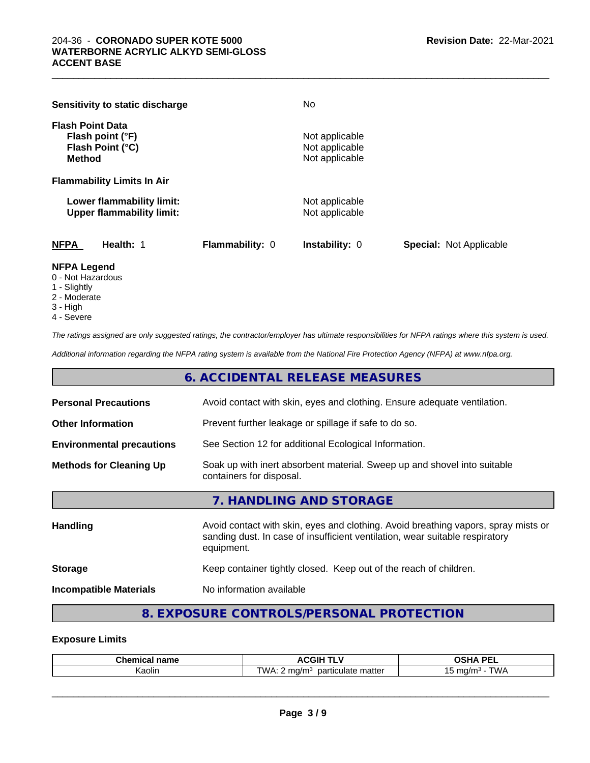| Sensitivity to static discharge                                                  |                 | No                                                 |                                |
|----------------------------------------------------------------------------------|-----------------|----------------------------------------------------|--------------------------------|
| <b>Flash Point Data</b><br>Flash point (°F)<br>Flash Point (°C)<br><b>Method</b> |                 | Not applicable<br>Not applicable<br>Not applicable |                                |
| <b>Flammability Limits In Air</b>                                                |                 |                                                    |                                |
| Lower flammability limit:<br><b>Upper flammability limit:</b>                    |                 | Not applicable<br>Not applicable                   |                                |
| <b>NFPA</b><br>Health: 1                                                         | Flammability: 0 | <b>Instability: 0</b>                              | <b>Special: Not Applicable</b> |

 $\_$  ,  $\_$  ,  $\_$  ,  $\_$  ,  $\_$  ,  $\_$  ,  $\_$  ,  $\_$  ,  $\_$  ,  $\_$  ,  $\_$  ,  $\_$  ,  $\_$  ,  $\_$  ,  $\_$  ,  $\_$  ,  $\_$  ,  $\_$  ,  $\_$  ,  $\_$  ,  $\_$  ,  $\_$  ,  $\_$  ,  $\_$  ,  $\_$  ,  $\_$  ,  $\_$  ,  $\_$  ,  $\_$  ,  $\_$  ,  $\_$  ,  $\_$  ,  $\_$  ,  $\_$  ,  $\_$  ,  $\_$  ,  $\_$  ,

#### **NFPA Legend**

- 0 Not Hazardous
- 1 Slightly
- 2 Moderate
- 3 High
- 4 Severe

*The ratings assigned are only suggested ratings, the contractor/employer has ultimate responsibilities for NFPA ratings where this system is used.*

*Additional information regarding the NFPA rating system is available from the National Fire Protection Agency (NFPA) at www.nfpa.org.*

# **6. ACCIDENTAL RELEASE MEASURES**

| <b>Personal Precautions</b>      | Avoid contact with skin, eyes and clothing. Ensure adequate ventilation.                                                                                                         |  |
|----------------------------------|----------------------------------------------------------------------------------------------------------------------------------------------------------------------------------|--|
| <b>Other Information</b>         | Prevent further leakage or spillage if safe to do so.                                                                                                                            |  |
| <b>Environmental precautions</b> | See Section 12 for additional Ecological Information.                                                                                                                            |  |
| <b>Methods for Cleaning Up</b>   | Soak up with inert absorbent material. Sweep up and shovel into suitable<br>containers for disposal.                                                                             |  |
|                                  | 7. HANDLING AND STORAGE                                                                                                                                                          |  |
| <b>Handling</b>                  | Avoid contact with skin, eyes and clothing. Avoid breathing vapors, spray mists or<br>sanding dust. In case of insufficient ventilation, wear suitable respiratory<br>equipment. |  |
| <b>Storage</b>                   | Keep container tightly closed. Keep out of the reach of children.                                                                                                                |  |
| <b>Incompatible Materials</b>    | No information available                                                                                                                                                         |  |
|                                  |                                                                                                                                                                                  |  |

# **8. EXPOSURE CONTROLS/PERSONAL PROTECTION**

#### **Exposure Limits**

| <b>Chemical</b> |                                    | <b>DEI</b>                                                                       |
|-----------------|------------------------------------|----------------------------------------------------------------------------------|
| name            | …                                  | --                                                                               |
| . .<br>Kaolin   | `WA<br>narticulate matter<br>∴ma/m | $\mathbf{r}$ and $\mathbf{r}$<br>$\cdot$ u/m $\cdot$<br>v<br>. .<br><b>v</b> v / |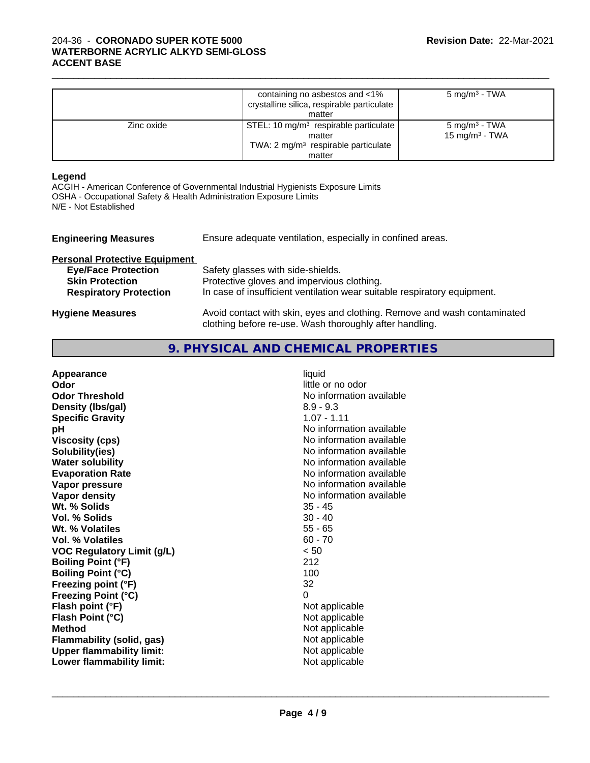|            | containing no asbestos and <1%<br>crystalline silica, respirable particulate<br>matter                                  | $5 \text{ mg/m}^3$ - TWA                               |
|------------|-------------------------------------------------------------------------------------------------------------------------|--------------------------------------------------------|
| Zinc oxide | STEL: 10 mg/m <sup>3</sup> respirable particulate<br>matter<br>TWA: $2 \text{ mg/m}^3$ respirable particulate<br>matter | 5 mg/m <sup>3</sup> - TWA<br>$15 \text{ mg/m}^3$ - TWA |

 $\_$  ,  $\_$  ,  $\_$  ,  $\_$  ,  $\_$  ,  $\_$  ,  $\_$  ,  $\_$  ,  $\_$  ,  $\_$  ,  $\_$  ,  $\_$  ,  $\_$  ,  $\_$  ,  $\_$  ,  $\_$  ,  $\_$  ,  $\_$  ,  $\_$  ,  $\_$  ,  $\_$  ,  $\_$  ,  $\_$  ,  $\_$  ,  $\_$  ,  $\_$  ,  $\_$  ,  $\_$  ,  $\_$  ,  $\_$  ,  $\_$  ,  $\_$  ,  $\_$  ,  $\_$  ,  $\_$  ,  $\_$  ,  $\_$  ,

#### **Legend**

ACGIH - American Conference of Governmental Industrial Hygienists Exposure Limits OSHA - Occupational Safety & Health Administration Exposure Limits N/E - Not Established

| <b>Engineering Measures</b>          | Ensure adequate ventilation, especially in confined areas.                                                                          |  |  |
|--------------------------------------|-------------------------------------------------------------------------------------------------------------------------------------|--|--|
| <b>Personal Protective Equipment</b> |                                                                                                                                     |  |  |
| <b>Eye/Face Protection</b>           | Safety glasses with side-shields.                                                                                                   |  |  |
| <b>Skin Protection</b>               | Protective gloves and impervious clothing.                                                                                          |  |  |
| <b>Respiratory Protection</b>        | In case of insufficient ventilation wear suitable respiratory equipment.                                                            |  |  |
| <b>Hygiene Measures</b>              | Avoid contact with skin, eyes and clothing. Remove and wash contaminated<br>clothing before re-use. Wash thoroughly after handling. |  |  |

**9. PHYSICAL AND CHEMICAL PROPERTIES**

| Appearance                        | liquid                   |
|-----------------------------------|--------------------------|
| Odor                              | little or no odor        |
| <b>Odor Threshold</b>             | No information available |
| Density (Ibs/gal)                 | $8.9 - 9.3$              |
| <b>Specific Gravity</b>           | $1.07 - 1.11$            |
| рH                                | No information available |
| <b>Viscosity (cps)</b>            | No information available |
| Solubility(ies)                   | No information available |
| <b>Water solubility</b>           | No information available |
| <b>Evaporation Rate</b>           | No information available |
| Vapor pressure                    | No information available |
| Vapor density                     | No information available |
| Wt. % Solids                      | $35 - 45$                |
| Vol. % Solids                     | $30 - 40$                |
| Wt. % Volatiles                   | $55 - 65$                |
| Vol. % Volatiles                  | $60 - 70$                |
| <b>VOC Regulatory Limit (g/L)</b> | < 50                     |
| <b>Boiling Point (°F)</b>         | 212                      |
| <b>Boiling Point (°C)</b>         | 100                      |
| Freezing point (°F)               | 32                       |
| <b>Freezing Point (°C)</b>        | 0                        |
| Flash point (°F)                  | Not applicable           |
| Flash Point (°C)                  | Not applicable           |
| <b>Method</b>                     | Not applicable           |
| Flammability (solid, gas)         | Not applicable           |
| <b>Upper flammability limit:</b>  | Not applicable           |
| Lower flammability limit:         | Not applicable           |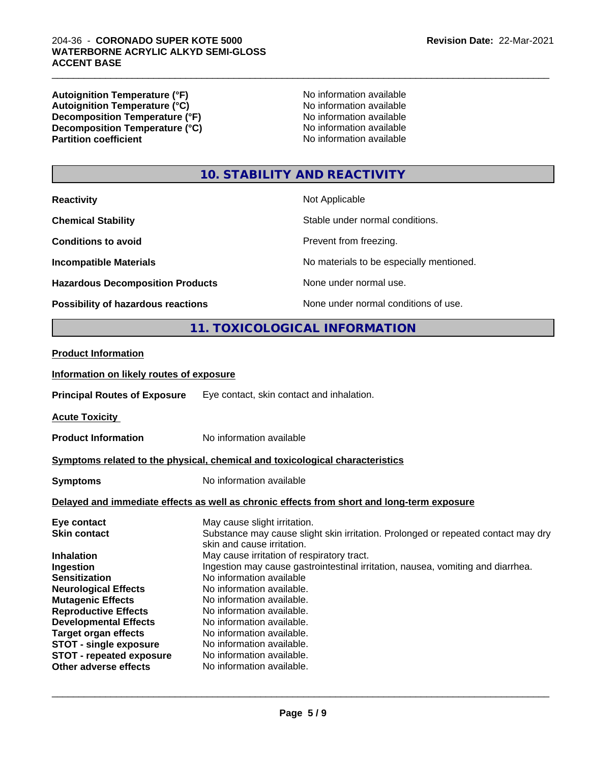#### 204-36 - **CORONADO SUPER KOTE 5000 WATERBORNE ACRYLIC ALKYD SEMI-GLOSS ACCENT BASE**

**Autoignition Temperature (°F)**<br> **Autoignition Temperature (°C)** 
<br> **Autoignition Temperature (°C)** 
<br> **Autoignition Temperature (°C)** Autoignition Temperature (°C)<br>
Decomposition Temperature (°F)<br>
No information available **Decomposition Temperature (°F)**<br> **Decomposition Temperature (°C)** No information available<br>
No information available **Decomposition Temperature (°C)**<br>Partition coefficient

**No information available** 

 $\_$  ,  $\_$  ,  $\_$  ,  $\_$  ,  $\_$  ,  $\_$  ,  $\_$  ,  $\_$  ,  $\_$  ,  $\_$  ,  $\_$  ,  $\_$  ,  $\_$  ,  $\_$  ,  $\_$  ,  $\_$  ,  $\_$  ,  $\_$  ,  $\_$  ,  $\_$  ,  $\_$  ,  $\_$  ,  $\_$  ,  $\_$  ,  $\_$  ,  $\_$  ,  $\_$  ,  $\_$  ,  $\_$  ,  $\_$  ,  $\_$  ,  $\_$  ,  $\_$  ,  $\_$  ,  $\_$  ,  $\_$  ,  $\_$  ,

# **10. STABILITY AND REACTIVITY**

| <b>Reactivity</b>                       | Not Applicable                           |
|-----------------------------------------|------------------------------------------|
| <b>Chemical Stability</b>               | Stable under normal conditions.          |
| <b>Conditions to avoid</b>              | Prevent from freezing.                   |
| <b>Incompatible Materials</b>           | No materials to be especially mentioned. |
| <b>Hazardous Decomposition Products</b> | None under normal use.                   |
| Possibility of hazardous reactions      | None under normal conditions of use.     |

# **11. TOXICOLOGICAL INFORMATION**

#### **Product Information**

#### **Information on likely routes of exposure**

**Principal Routes of Exposure** Eye contact, skin contact and inhalation.

**Acute Toxicity** 

**Product Information** No information available

#### **Symptoms related to the physical,chemical and toxicological characteristics**

**Symptoms** No information available

#### **Delayed and immediate effects as well as chronic effects from short and long-term exposure**

| Eye contact                     | May cause slight irritation.                                                      |
|---------------------------------|-----------------------------------------------------------------------------------|
| <b>Skin contact</b>             | Substance may cause slight skin irritation. Prolonged or repeated contact may dry |
|                                 | skin and cause irritation.                                                        |
| <b>Inhalation</b>               | May cause irritation of respiratory tract.                                        |
| Ingestion                       | Ingestion may cause gastrointestinal irritation, nausea, vomiting and diarrhea.   |
| <b>Sensitization</b>            | No information available                                                          |
| <b>Neurological Effects</b>     | No information available.                                                         |
| <b>Mutagenic Effects</b>        | No information available.                                                         |
| <b>Reproductive Effects</b>     | No information available.                                                         |
| <b>Developmental Effects</b>    | No information available.                                                         |
| <b>Target organ effects</b>     | No information available.                                                         |
| <b>STOT - single exposure</b>   | No information available.                                                         |
| <b>STOT - repeated exposure</b> | No information available.                                                         |
| Other adverse effects           | No information available.                                                         |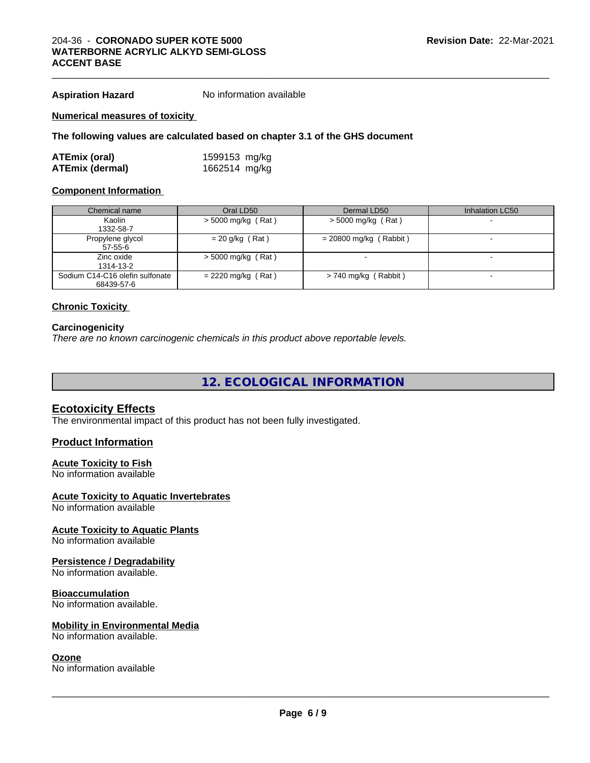**Aspiration Hazard** No information available

#### **Numerical measures of toxicity**

#### **The following values are calculated based on chapter 3.1 of the GHS document**

| ATEmix (oral)          | 1599153 mg/kg |
|------------------------|---------------|
| <b>ATEmix (dermal)</b> | 1662514 mg/kg |

#### **Component Information**

| Chemical name                   | Oral LD50            | Dermal LD50              | Inhalation LC50 |
|---------------------------------|----------------------|--------------------------|-----------------|
| Kaolin                          | $>$ 5000 mg/kg (Rat) | $>$ 5000 mg/kg (Rat)     |                 |
| 1332-58-7                       |                      |                          |                 |
| Propylene glycol                | $= 20$ g/kg (Rat)    | $= 20800$ mg/kg (Rabbit) |                 |
| 57-55-6                         |                      |                          |                 |
| Zinc oxide                      | $>$ 5000 mg/kg (Rat) |                          |                 |
| 1314-13-2                       |                      |                          |                 |
| Sodium C14-C16 olefin sulfonate | $= 2220$ mg/kg (Rat) | > 740 mg/kg (Rabbit)     |                 |
| 68439-57-6                      |                      |                          |                 |

#### **Chronic Toxicity**

#### **Carcinogenicity**

*There are no known carcinogenic chemicals in this product above reportable levels.*

**12. ECOLOGICAL INFORMATION**

### **Ecotoxicity Effects**

The environmental impact of this product has not been fully investigated.

#### **Product Information**

#### **Acute Toxicity to Fish**

No information available

#### **Acute Toxicity to Aquatic Invertebrates**

No information available

#### **Acute Toxicity to Aquatic Plants**

No information available

#### **Persistence / Degradability**

No information available.

#### **Bioaccumulation**

No information available.

#### **Mobility in Environmental Media**

No information available.

### **Ozone**

No information available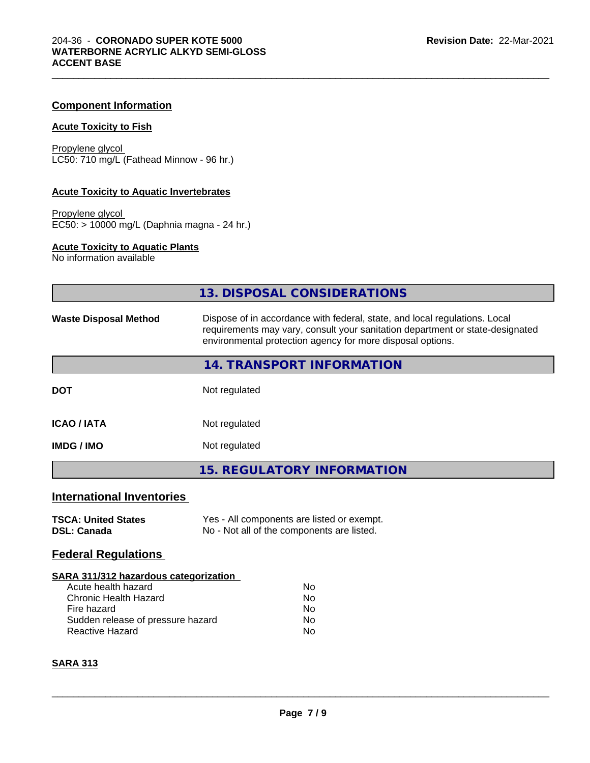### **Component Information**

#### **Acute Toxicity to Fish**

Propylene glycol LC50: 710 mg/L (Fathead Minnow - 96 hr.)

#### **Acute Toxicity to Aquatic Invertebrates**

Propylene glycol EC50: > 10000 mg/L (Daphnia magna - 24 hr.)

#### **Acute Toxicity to Aquatic Plants**

No information available

|                                                                                                                                                                                   | <b>13. DISPOSAL CONSIDERATIONS</b>                                                                                                                                                                                        |  |  |
|-----------------------------------------------------------------------------------------------------------------------------------------------------------------------------------|---------------------------------------------------------------------------------------------------------------------------------------------------------------------------------------------------------------------------|--|--|
| <b>Waste Disposal Method</b>                                                                                                                                                      | Dispose of in accordance with federal, state, and local regulations. Local<br>requirements may vary, consult your sanitation department or state-designated<br>environmental protection agency for more disposal options. |  |  |
|                                                                                                                                                                                   | 14. TRANSPORT INFORMATION                                                                                                                                                                                                 |  |  |
| <b>DOT</b>                                                                                                                                                                        | Not regulated                                                                                                                                                                                                             |  |  |
| <b>ICAO / IATA</b>                                                                                                                                                                | Not regulated                                                                                                                                                                                                             |  |  |
| <b>IMDG / IMO</b>                                                                                                                                                                 | Not regulated                                                                                                                                                                                                             |  |  |
|                                                                                                                                                                                   | <b>15. REGULATORY INFORMATION</b>                                                                                                                                                                                         |  |  |
| <b>International Inventories</b>                                                                                                                                                  |                                                                                                                                                                                                                           |  |  |
| <b>TSCA: United States</b><br><b>DSL: Canada</b>                                                                                                                                  | Yes - All components are listed or exempt.<br>No - Not all of the components are listed.                                                                                                                                  |  |  |
| <b>Federal Regulations</b>                                                                                                                                                        |                                                                                                                                                                                                                           |  |  |
| <b>SARA 311/312 hazardous categorization</b><br>Acute health hazard<br><b>Chronic Health Hazard</b><br>Fire hazard<br>Sudden release of pressure hazard<br><b>Reactive Hazard</b> | No<br>No<br>No<br>No<br>No                                                                                                                                                                                                |  |  |
| <b>SARA 313</b>                                                                                                                                                                   |                                                                                                                                                                                                                           |  |  |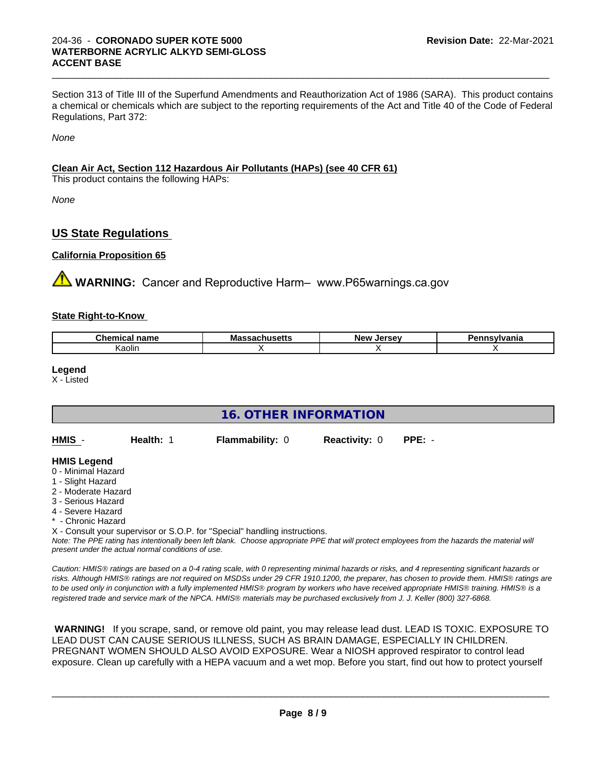Section 313 of Title III of the Superfund Amendments and Reauthorization Act of 1986 (SARA). This product contains a chemical or chemicals which are subject to the reporting requirements of the Act and Title 40 of the Code of Federal Regulations, Part 372:

 $\_$  ,  $\_$  ,  $\_$  ,  $\_$  ,  $\_$  ,  $\_$  ,  $\_$  ,  $\_$  ,  $\_$  ,  $\_$  ,  $\_$  ,  $\_$  ,  $\_$  ,  $\_$  ,  $\_$  ,  $\_$  ,  $\_$  ,  $\_$  ,  $\_$  ,  $\_$  ,  $\_$  ,  $\_$  ,  $\_$  ,  $\_$  ,  $\_$  ,  $\_$  ,  $\_$  ,  $\_$  ,  $\_$  ,  $\_$  ,  $\_$  ,  $\_$  ,  $\_$  ,  $\_$  ,  $\_$  ,  $\_$  ,  $\_$  ,

*None*

## **Clean Air Act,Section 112 Hazardous Air Pollutants (HAPs) (see 40 CFR 61)**

This product contains the following HAPs:

*None*

# **US State Regulations**

#### **California Proposition 65**

**AVIMARNING:** Cancer and Reproductive Harm– www.P65warnings.ca.gov

#### **State Right-to-Know**

| ___<br>ıme<br>וני | мa | -----<br>Ne'<br>30V<br>-- | - --<br>н |
|-------------------|----|---------------------------|-----------|
| Kaolir.           |    |                           |           |

**Legend**

X - Listed

| <b>16. OTHER INFORMATION</b>                                                                                                                                                                                |           |                                                                            |                      |                                                                                                                                               |
|-------------------------------------------------------------------------------------------------------------------------------------------------------------------------------------------------------------|-----------|----------------------------------------------------------------------------|----------------------|-----------------------------------------------------------------------------------------------------------------------------------------------|
| HMIS -                                                                                                                                                                                                      | Health: 1 | <b>Flammability: 0</b>                                                     | <b>Reactivity: 0</b> | $PPE: -$                                                                                                                                      |
| <b>HMIS Legend</b><br>0 - Minimal Hazard<br>1 - Slight Hazard<br>2 - Moderate Hazard<br>3 - Serious Hazard<br>4 - Severe Hazard<br>* - Chronic Hazard<br>present under the actual normal conditions of use. |           | X - Consult your supervisor or S.O.P. for "Special" handling instructions. |                      | Note: The PPE rating has intentionally been left blank. Choose appropriate PPE that will protect employees from the hazards the material will |

*Caution: HMISÒ ratings are based on a 0-4 rating scale, with 0 representing minimal hazards or risks, and 4 representing significant hazards or risks. Although HMISÒ ratings are not required on MSDSs under 29 CFR 1910.1200, the preparer, has chosen to provide them. HMISÒ ratings are to be used only in conjunction with a fully implemented HMISÒ program by workers who have received appropriate HMISÒ training. HMISÒ is a registered trade and service mark of the NPCA. HMISÒ materials may be purchased exclusively from J. J. Keller (800) 327-6868.*

 **WARNING!** If you scrape, sand, or remove old paint, you may release lead dust. LEAD IS TOXIC. EXPOSURE TO LEAD DUST CAN CAUSE SERIOUS ILLNESS, SUCH AS BRAIN DAMAGE, ESPECIALLY IN CHILDREN. PREGNANT WOMEN SHOULD ALSO AVOID EXPOSURE.Wear a NIOSH approved respirator to control lead exposure. Clean up carefully with a HEPA vacuum and a wet mop. Before you start, find out how to protect yourself